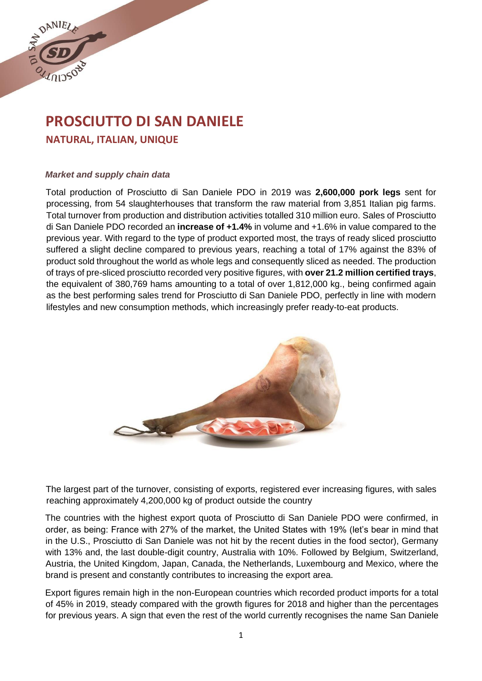

# **PROSCIUTTO DI SAN DANIELE NATURAL, ITALIAN, UNIQUE**

## *Market and supply chain data*

Total production of Prosciutto di San Daniele PDO in 2019 was **2,600,000 pork legs** sent for processing, from 54 slaughterhouses that transform the raw material from 3,851 Italian pig farms. Total turnover from production and distribution activities totalled 310 million euro. Sales of Prosciutto di San Daniele PDO recorded an **increase of +1.4%** in volume and +1.6% in value compared to the previous year. With regard to the type of product exported most, the trays of ready sliced prosciutto suffered a slight decline compared to previous years, reaching a total of 17% against the 83% of product sold throughout the world as whole legs and consequently sliced as needed. The production of trays of pre-sliced prosciutto recorded very positive figures, with **over 21.2 million certified trays**, the equivalent of 380,769 hams amounting to a total of over 1,812,000 kg., being confirmed again as the best performing sales trend for Prosciutto di San Daniele PDO, perfectly in line with modern lifestyles and new consumption methods, which increasingly prefer ready-to-eat products.



The largest part of the turnover, consisting of exports, registered ever increasing figures, with sales reaching approximately 4,200,000 kg of product outside the country

The countries with the highest export quota of Prosciutto di San Daniele PDO were confirmed, in order, as being: France with 27% of the market, the United States with 19% (let's bear in mind that in the U.S., Prosciutto di San Daniele was not hit by the recent duties in the food sector), Germany with 13% and, the last double-digit country, Australia with 10%. Followed by Belgium, Switzerland, Austria, the United Kingdom, Japan, Canada, the Netherlands, Luxembourg and Mexico, where the brand is present and constantly contributes to increasing the export area.

Export figures remain high in the non-European countries which recorded product imports for a total of 45% in 2019, steady compared with the growth figures for 2018 and higher than the percentages for previous years. A sign that even the rest of the world currently recognises the name San Daniele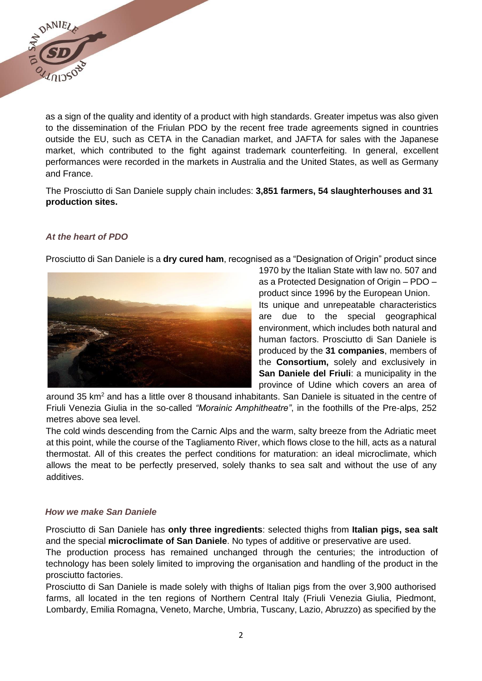

as a sign of the quality and identity of a product with high standards. Greater impetus was also given to the dissemination of the Friulan PDO by the recent free trade agreements signed in countries outside the EU, such as CETA in the Canadian market, and JAFTA for sales with the Japanese market, which contributed to the fight against trademark counterfeiting. In general, excellent performances were recorded in the markets in Australia and the United States, as well as Germany and France.

The Prosciutto di San Daniele supply chain includes: **3,851 farmers, 54 slaughterhouses and 31 production sites.** 

## *At the heart of PDO*

Prosciutto di San Daniele is a **dry cured ham**, recognised as a "Designation of Origin" product since



1970 by the Italian State with law no. 507 and as a Protected Designation of Origin – PDO – product since 1996 by the European Union. Its unique and unrepeatable characteristics are due to the special geographical environment, which includes both natural and human factors. Prosciutto di San Daniele is produced by the **31 companies**, members of the **Consortium,** solely and exclusively in **San Daniele del Friuli**: a municipality in the province of Udine which covers an area of

around 35  $km^2$  and has a little over 8 thousand inhabitants. San Daniele is situated in the centre of Friuli Venezia Giulia in the so-called *"Morainic Amphitheatre"*, in the foothills of the Pre-alps, 252 metres above sea level.

The cold winds descending from the Carnic Alps and the warm, salty breeze from the Adriatic meet at this point, while the course of the Tagliamento River, which flows close to the hill, acts as a natural thermostat. All of this creates the perfect conditions for maturation: an ideal microclimate, which allows the meat to be perfectly preserved, solely thanks to sea salt and without the use of any additives.

#### *How we make San Daniele*

Prosciutto di San Daniele has **only three ingredients**: selected thighs from **Italian pigs, sea salt**  and the special **microclimate of San Daniele**. No types of additive or preservative are used.

The production process has remained unchanged through the centuries; the introduction of technology has been solely limited to improving the organisation and handling of the product in the prosciutto factories.

Prosciutto di San Daniele is made solely with thighs of Italian pigs from the over 3,900 authorised farms, all located in the ten regions of Northern Central Italy (Friuli Venezia Giulia, Piedmont, Lombardy, Emilia Romagna, Veneto, Marche, Umbria, Tuscany, Lazio, Abruzzo) as specified by the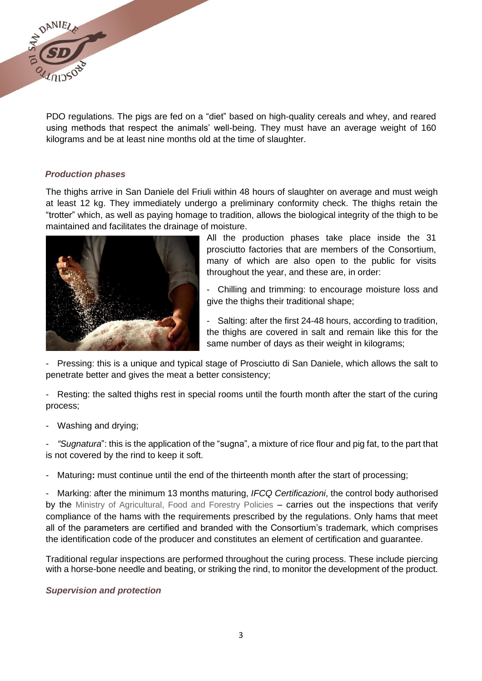

PDO regulations. The pigs are fed on a "diet" based on high-quality cereals and whey, and reared using methods that respect the animals' well-being. They must have an average weight of 160 kilograms and be at least nine months old at the time of slaughter.

#### *Production phases*

The thighs arrive in San Daniele del Friuli within 48 hours of slaughter on average and must weigh at least 12 kg. They immediately undergo a preliminary conformity check. The thighs retain the "trotter" which, as well as paying homage to tradition, allows the biological integrity of the thigh to be maintained and facilitates the drainage of moisture.



All the production phases take place inside the 31 prosciutto factories that are members of the Consortium, many of which are also open to the public for visits throughout the year, and these are, in order:

- Chilling and trimming: to encourage moisture loss and give the thighs their traditional shape;

- Salting: after the first 24-48 hours, according to tradition, the thighs are covered in salt and remain like this for the same number of days as their weight in kilograms;

- Pressing: this is a unique and typical stage of Prosciutto di San Daniele, which allows the salt to penetrate better and gives the meat a better consistency;

- Resting: the salted thighs rest in special rooms until the fourth month after the start of the curing process;

Washing and drying;

"Sugnatura": this is the application of the "sugna", a mixture of rice flour and pig fat, to the part that is not covered by the rind to keep it soft.

Maturing: must continue until the end of the thirteenth month after the start of processing;

- Marking: after the minimum 13 months maturing, *IFCQ Certificazioni*, the control body authorised by the Ministry of Agricultural, Food and Forestry Policies – carries out the inspections that verify compliance of the hams with the requirements prescribed by the regulations. Only hams that meet all of the parameters are certified and branded with the Consortium's trademark, which comprises the identification code of the producer and constitutes an element of certification and guarantee.

Traditional regular inspections are performed throughout the curing process. These include piercing with a horse-bone needle and beating, or striking the rind, to monitor the development of the product.

#### *Supervision and protection*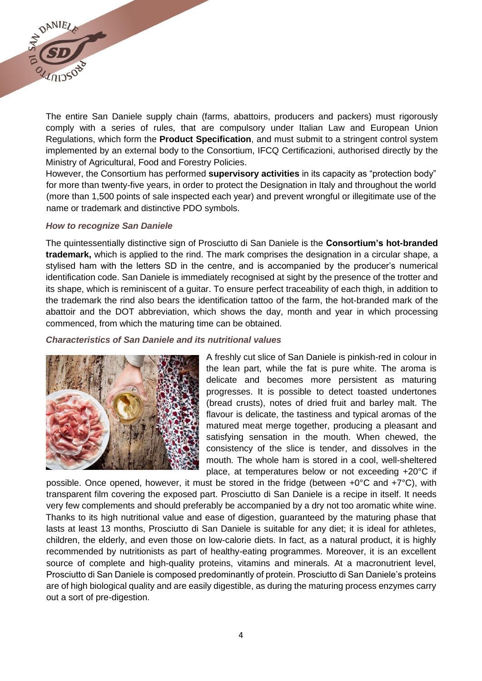

The entire San Daniele supply chain (farms, abattoirs, producers and packers) must rigorously comply with a series of rules, that are compulsory under Italian Law and European Union Regulations, which form the **Product Specification**, and must submit to a stringent control system implemented by an external body to the Consortium, IFCQ Certificazioni, authorised directly by the Ministry of Agricultural, Food and Forestry Policies.

However, the Consortium has performed **supervisory activities** in its capacity as "protection body" for more than twenty-five years, in order to protect the Designation in Italy and throughout the world (more than 1,500 points of sale inspected each year) and prevent wrongful or illegitimate use of the name or trademark and distinctive PDO symbols.

#### *How to recognize San Daniele*

The quintessentially distinctive sign of Prosciutto di San Daniele is the **Consortium's hot-branded trademark,** which is applied to the rind. The mark comprises the designation in a circular shape, a stylised ham with the letters SD in the centre, and is accompanied by the producer's numerical identification code. San Daniele is immediately recognised at sight by the presence of the trotter and its shape, which is reminiscent of a guitar. To ensure perfect traceability of each thigh, in addition to the trademark the rind also bears the identification tattoo of the farm, the hot-branded mark of the abattoir and the DOT abbreviation, which shows the day, month and year in which processing commenced, from which the maturing time can be obtained.

#### *Characteristics of San Daniele and its nutritional values*



A freshly cut slice of San Daniele is pinkish-red in colour in the lean part, while the fat is pure white. The aroma is delicate and becomes more persistent as maturing progresses. It is possible to detect toasted undertones (bread crusts), notes of dried fruit and barley malt. The flavour is delicate, the tastiness and typical aromas of the matured meat merge together, producing a pleasant and satisfying sensation in the mouth. When chewed, the consistency of the slice is tender, and dissolves in the mouth. The whole ham is stored in a cool, well-sheltered place, at temperatures below or not exceeding +20°C if

possible. Once opened, however, it must be stored in the fridge (between +0°C and +7°C), with transparent film covering the exposed part. Prosciutto di San Daniele is a recipe in itself. It needs very few complements and should preferably be accompanied by a dry not too aromatic white wine. Thanks to its high nutritional value and ease of digestion, guaranteed by the maturing phase that lasts at least 13 months, Prosciutto di San Daniele is suitable for any diet; it is ideal for athletes, children, the elderly, and even those on low-calorie diets. In fact, as a natural product, it is highly recommended by nutritionists as part of healthy-eating programmes. Moreover, it is an excellent source of complete and high-quality proteins, vitamins and minerals. At a macronutrient level, Prosciutto di San Daniele is composed predominantly of protein. Prosciutto di San Daniele's proteins are of high biological quality and are easily digestible, as during the maturing process enzymes carry out a sort of pre-digestion.